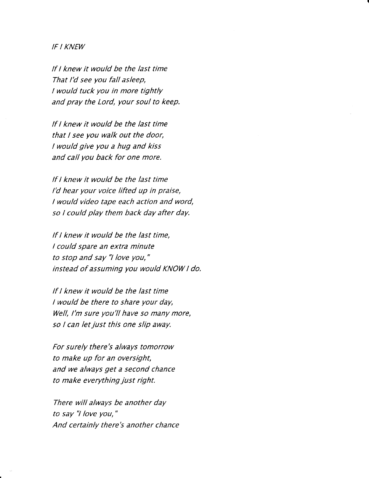## IF I KNEW

lf I knew it would be the last time That I'd see you fall asleep, I would tuck you in more tightly and pray the Lord, your soul to keep.

lf I knew it would be the last time that I see you walk out the door, I would give you a hug and kiss and call you back for one more.

lf I knew it would be the last time l'd hear your voice lifted up in praise, I would video tape each action and word, so I could play them back day after day.

If I knew it would be the last time, I could spare an extra minute to stop and say "l love you," instead of assuming you would KNOW I do.

lf I knew it would be the last time I would be there to share your day, Well, l'm sure you'll have so many more, so I can let just this one slip away.

For surely there's always tomorrow to make up for an oversight, and we always get a second chance to make everything just right.

There will always be another day to say "l love you," And certainly there's another chance